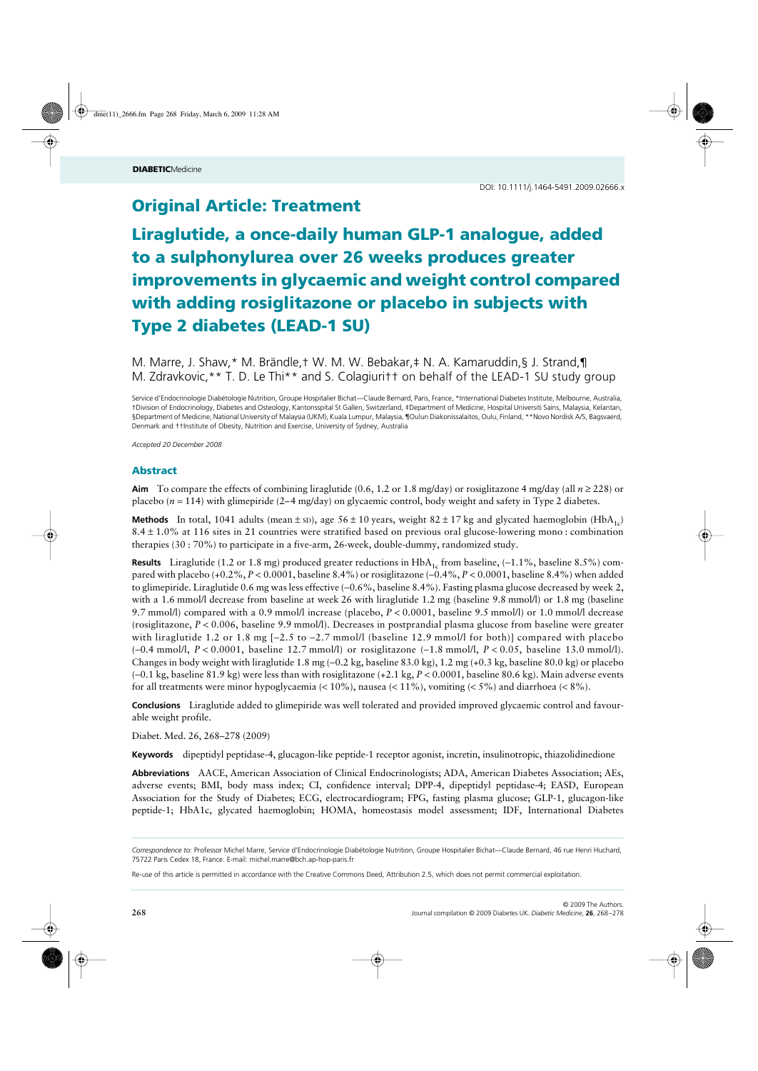# **Original Article: Treatment**

# Liraglutide, a once-daily human GLP-1 analogue, added to a sulphonylurea over 26 weeks produces greater improvements in glycaemic and weight control compared with adding rosiglitazone or placebo in subjects with Type 2 diabetes (LEAD-1 SU)

M. Marre, J. Shaw,\* M. Brändle,† W. M. W. Bebakar,‡ N. A. Kamaruddin,§ J. Strand,¶ M. Zdravkovic,\*\* T. D. Le Thi\*\* and S. Colagiuri†† on behalf of the LEAD-1 SU study group

Service d'Endocrinologie Diabétologie Nutrition, Groupe Hospitalier Bichat*—*Claude Bernard, Paris, France, \*International Diabetes Institute, Melbourne, Australia, †Division of Endocrinology, Diabetes and Osteology, Kantonsspital St Gallen, Switzerland, ‡Department of Medicine, Hospital Universiti Sains, Malaysia, Kelantan, §Department of Medicine, National University of Malaysia (UKM), Kuala Lumpur, Malaysia, ¶Oulun Diakonissalaitos, Oulu, Finland, \*\*Novo Nordisk A/S, Bagsvaerd, Denmark and ††Institute of Obesity, Nutrition and Exercise, University of Sydney, Australia

*Accepted 20 December 2008*

# Abstract

**Aim** To compare the effects of combining liraglutide (0.6, 1.2 or 1.8 mg/day) or rosiglitazone 4 mg/day (all *n* ≥ 228) or placebo (*n* = 114) with glimepiride (2–4 mg/day) on glycaemic control, body weight and safety in Type 2 diabetes.

**Methods** In total, 1041 adults (mean  $\pm$  sp), age 56  $\pm$  10 years, weight 82  $\pm$  17 kg and glycated haemoglobin (HbA<sub>1c</sub>) 8.4 ± 1.0% at 116 sites in 21 countries were stratified based on previous oral glucose-lowering mono : combination therapies (30 : 70%) to participate in a five-arm, 26-week, double-dummy, randomized study.

**Results** Liraglutide (1.2 or 1.8 mg) produced greater reductions in HbA<sub>1c</sub> from baseline, (−1.1%, baseline 8.5%) compared with placebo (+0.2%, *P* < 0.0001, baseline 8.4%) or rosiglitazone (−0.4%, *P* < 0.0001, baseline 8.4%) when added to glimepiride. Liraglutide 0.6 mg was less effective (−0.6%, baseline 8.4%). Fasting plasma glucose decreased by week 2, with a 1.6 mmol/l decrease from baseline at week 26 with liraglutide 1.2 mg (baseline 9.8 mmol/l) or 1.8 mg (baseline 9.7 mmol/l) compared with a 0.9 mmol/l increase (placebo, *P* < 0.0001, baseline 9.5 mmol/l) or 1.0 mmol/l decrease (rosiglitazone, *P* < 0.006, baseline 9.9 mmol/l). Decreases in postprandial plasma glucose from baseline were greater with liraglutide 1.2 or 1.8 mg [−2.5 to −2.7 mmol/l (baseline 12.9 mmol/l for both)] compared with placebo (−0.4 mmol/l, *P* < 0.0001, baseline 12.7 mmol/l) or rosiglitazone (−1.8 mmol/l, *P* < 0.05, baseline 13.0 mmol/l). Changes in body weight with liraglutide 1.8 mg (−0.2 kg, baseline 83.0 kg), 1.2 mg (+0.3 kg, baseline 80.0 kg) or placebo (−0.1 kg, baseline 81.9 kg) were less than with rosiglitazone (+2.1 kg, *P* < 0.0001, baseline 80.6 kg). Main adverse events for all treatments were minor hypoglycaemia  $\langle$  < 10%), nausea  $\langle$  < 11%), vomiting  $\langle$  < 5%) and diarrhoea  $\langle$  < 8%).

**Conclusions** Liraglutide added to glimepiride was well tolerated and provided improved glycaemic control and favourable weight profile.

Diabet. Med. 26, 268–278 (2009)

**Keywords** dipeptidyl peptidase-4, glucagon-like peptide-1 receptor agonist, incretin, insulinotropic, thiazolidinedione

**Abbreviations** AACE, American Association of Clinical Endocrinologists; ADA, American Diabetes Association; AEs, adverse events; BMI, body mass index; CI, confidence interval; DPP-4, dipeptidyl peptidase-4; EASD, European Association for the Study of Diabetes; ECG, electrocardiogram; FPG, fasting plasma glucose; GLP-1, glucagon-like peptide-1; HbA1c, glycated haemoglobin; HOMA, homeostasis model assessment; IDF, International Diabetes

*Correspondence to*: Professor Michel Marre, Service d'Endocrinologie Diabétologie Nutrition, Groupe Hospitalier Bichat*—*Claude Bernard, 46 rue Henri Huchard, 75722 Paris Cedex 18, France. E-mail: michel.marre@bch.ap-hop-paris.fr

Re-use of this article is permitted in accordance with the Creative Commons Deed, Attribution 2.5, which does not permit commercial exploitation.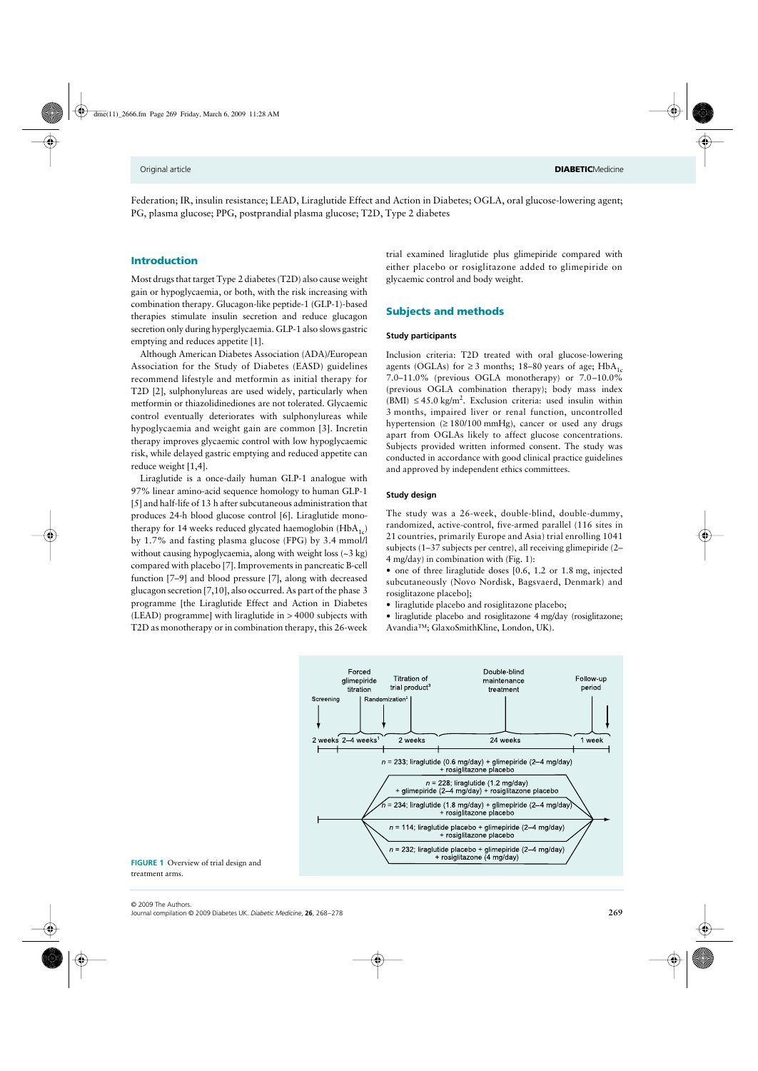Federation; IR, insulin resistance; LEAD, Liraglutide Effect and Action in Diabetes; OGLA, oral glucose-lowering agent; PG, plasma glucose; PPG, postprandial plasma glucose; T2D, Type 2 diabetes

# Introduction

Most drugs that target Type 2 diabetes (T2D) also cause weight gain or hypoglycaemia, or both, with the risk increasing with combination therapy. Glucagon-like peptide-1 (GLP-1)-based therapies stimulate insulin secretion and reduce glucagon secretion only during hyperglycaemia. GLP-1 also slows gastric emptying and reduces appetite [1].

Although American Diabetes Association (ADA)/European Association for the Study of Diabetes (EASD) guidelines recommend lifestyle and metformin as initial therapy for T2D [2], sulphonylureas are used widely, particularly when metformin or thiazolidinediones are not tolerated. Glycaemic control eventually deteriorates with sulphonylureas while hypoglycaemia and weight gain are common [3]. Incretin therapy improves glycaemic control with low hypoglycaemic risk, while delayed gastric emptying and reduced appetite can reduce weight [1,4].

Liraglutide is a once-daily human GLP-1 analogue with 97% linear amino-acid sequence homology to human GLP-1 [5] and half-life of 13 h after subcutaneous administration that produces 24-h blood glucose control [6]. Liraglutide monotherapy for 14 weeks reduced glycated haemoglobin  $(HbA_{1c})$ by 1.7% and fasting plasma glucose (FPG) by 3.4 mmol/l without causing hypoglycaemia, along with weight loss (~3 kg) compared with placebo [7]. Improvements in pancreatic B-cell function [7–9] and blood pressure [7], along with decreased glucagon secretion [7,10], also occurred. As part of the phase 3 programme [the Liraglutide Effect and Action in Diabetes (LEAD) programme] with liraglutide in > 4000 subjects with T2D as monotherapy or in combination therapy, this 26-week

trial examined liraglutide plus glimepiride compared with either placebo or rosiglitazone added to glimepiride on glycaemic control and body weight.

# Subjects and methods

### **Study participants**

Inclusion criteria: T2D treated with oral glucose-lowering agents (OGLAs) for  $\geq$  3 months; 18–80 years of age; HbA<sub>1c</sub> 7.0–11.0% (previous OGLA monotherapy) or 7.0–10.0% (previous OGLA combination therapy); body mass index  $(BMI) \leq 45.0 \text{ kg/m}^2$ . Exclusion criteria: used insulin within 3 months, impaired liver or renal function, uncontrolled hypertension  $(≥ 180/100 mmHg)$ , cancer or used any drugs apart from OGLAs likely to affect glucose concentrations. Subjects provided written informed consent. The study was conducted in accordance with good clinical practice guidelines and approved by independent ethics committees.

# **Study design**

The study was a 26-week, double-blind, double-dummy, randomized, active-control, five-armed parallel (116 sites in 21 countries, primarily Europe and Asia) trial enrolling 1041 subjects (1–37 subjects per centre), all receiving glimepiride (2– 4 mg/day) in combination with (Fig. 1):

• one of three liraglutide doses [0.6, 1.2 or 1.8 mg, injected subcutaneously (Novo Nordisk, Bagsvaerd, Denmark) and rosiglitazone placebo];

• liraglutide placebo and rosiglitazone placebo;

• liraglutide placebo and rosiglitazone 4 mg/day (rosiglitazone; Avandia™; GlaxoSmithKline, London, UK).



**FIGURE 1** Overview of trial design and treatment arms.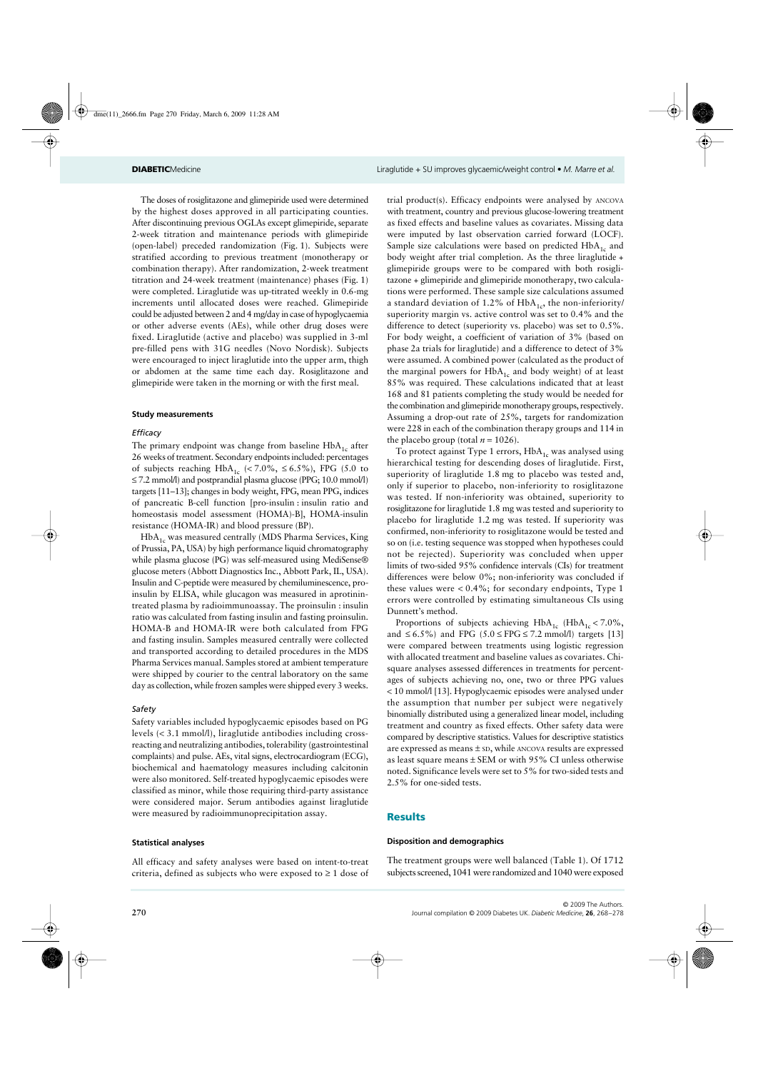The doses of rosiglitazone and glimepiride used were determined by the highest doses approved in all participating counties. After discontinuing previous OGLAs except glimepiride, separate 2-week titration and maintenance periods with glimepiride (open-label) preceded randomization (Fig. 1). Subjects were stratified according to previous treatment (monotherapy or combination therapy). After randomization, 2-week treatment titration and 24-week treatment (maintenance) phases (Fig. 1) were completed. Liraglutide was up-titrated weekly in 0.6-mg increments until allocated doses were reached. Glimepiride could be adjusted between 2 and 4 mg/day in case of hypoglycaemia or other adverse events (AEs), while other drug doses were fixed. Liraglutide (active and placebo) was supplied in 3-ml pre-filled pens with 31G needles (Novo Nordisk). Subjects were encouraged to inject liraglutide into the upper arm, thigh or abdomen at the same time each day. Rosiglitazone and glimepiride were taken in the morning or with the first meal.

#### **Study measurements**

### *Efficacy*

The primary endpoint was change from baseline  $HbA_{1c}$  after 26 weeks of treatment. Secondary endpoints included: percentages of subjects reaching  $HbA_{1c}$  (<7.0%, ≤ 6.5%), FPG (5.0 to ≤ 7.2 mmol/l) and postprandial plasma glucose (PPG; 10.0 mmol/l) targets [11–13]; changes in body weight, FPG, mean PPG, indices of pancreatic B-cell function [pro-insulin : insulin ratio and homeostasis model assessment (HOMA)-B], HOMA-insulin resistance (HOMA-IR) and blood pressure (BP).

 $HbA<sub>1c</sub>$  was measured centrally (MDS Pharma Services, King of Prussia, PA, USA) by high performance liquid chromatography while plasma glucose (PG) was self-measured using MediSense® glucose meters (Abbott Diagnostics Inc., Abbott Park, IL, USA). Insulin and C-peptide were measured by chemiluminescence, proinsulin by ELISA, while glucagon was measured in aprotinintreated plasma by radioimmunoassay. The proinsulin : insulin ratio was calculated from fasting insulin and fasting proinsulin. HOMA-B and HOMA-IR were both calculated from FPG and fasting insulin. Samples measured centrally were collected and transported according to detailed procedures in the MDS Pharma Services manual. Samples stored at ambient temperature were shipped by courier to the central laboratory on the same day as collection, while frozen samples were shipped every 3 weeks.

#### *Safety*

Safety variables included hypoglycaemic episodes based on PG levels (< 3.1 mmol/l), liraglutide antibodies including crossreacting and neutralizing antibodies, tolerability (gastrointestinal complaints) and pulse. AEs, vital signs, electrocardiogram (ECG), biochemical and haematology measures including calcitonin were also monitored. Self-treated hypoglycaemic episodes were classified as minor, while those requiring third-party assistance were considered major. Serum antibodies against liraglutide were measured by radioimmunoprecipitation assay.

# **Statistical analyses**

All efficacy and safety analyses were based on intent-to-treat criteria, defined as subjects who were exposed to  $\geq 1$  dose of trial product(s). Efficacy endpoints were analysed by ANCOVA with treatment, country and previous glucose-lowering treatment as fixed effects and baseline values as covariates. Missing data were imputed by last observation carried forward (LOCF). Sample size calculations were based on predicted  $HbA_{1c}$  and body weight after trial completion. As the three liraglutide + glimepiride groups were to be compared with both rosiglitazone + glimepiride and glimepiride monotherapy, two calculations were performed. These sample size calculations assumed a standard deviation of 1.2% of  $HbA_{1c}$ , the non-inferiority/ superiority margin vs. active control was set to 0.4% and the difference to detect (superiority vs. placebo) was set to 0.5%. For body weight, a coefficient of variation of 3% (based on phase 2a trials for liraglutide) and a difference to detect of 3% were assumed. A combined power (calculated as the product of the marginal powers for  $HbA_{1c}$  and body weight) of at least 85% was required. These calculations indicated that at least 168 and 81 patients completing the study would be needed for the combination and glimepiride monotherapy groups, respectively. Assuming a drop-out rate of 25%, targets for randomization were 228 in each of the combination therapy groups and 114 in the placebo group (total  $n = 1026$ ).

To protect against Type 1 errors,  $HbA_{1c}$  was analysed using hierarchical testing for descending doses of liraglutide. First, superiority of liraglutide 1.8 mg to placebo was tested and, only if superior to placebo, non-inferiority to rosiglitazone was tested. If non-inferiority was obtained, superiority to rosiglitazone for liraglutide 1.8 mg was tested and superiority to placebo for liraglutide 1.2 mg was tested. If superiority was confirmed, non-inferiority to rosiglitazone would be tested and so on (i.e. testing sequence was stopped when hypotheses could not be rejected). Superiority was concluded when upper limits of two-sided 95% confidence intervals (CIs) for treatment differences were below 0%; non-inferiority was concluded if these values were  $< 0.4\%$ ; for secondary endpoints, Type 1 errors were controlled by estimating simultaneous CIs using Dunnett's method.

Proportions of subjects achieving  $HbA_{1c}$  (HbA<sub>1c</sub> < 7.0%, and  $\leq 6.5\%$ ) and FPG (5.0  $\leq$  FPG  $\leq$  7.2 mmol/l) targets [13] were compared between treatments using logistic regression with allocated treatment and baseline values as covariates. Chisquare analyses assessed differences in treatments for percentages of subjects achieving no, one, two or three PPG values < 10 mmol/l [13]. Hypoglycaemic episodes were analysed under the assumption that number per subject were negatively binomially distributed using a generalized linear model, including treatment and country as fixed effects. Other safety data were compared by descriptive statistics. Values for descriptive statistics are expressed as means ± SD, while ANCOVA results are expressed as least square means ± SEM or with 95% CI unless otherwise noted. Significance levels were set to 5% for two-sided tests and 2.5% for one-sided tests.

# Results

#### **Disposition and demographics**

The treatment groups were well balanced (Table 1). Of 1712 subjects screened, 1041 were randomized and 1040 were exposed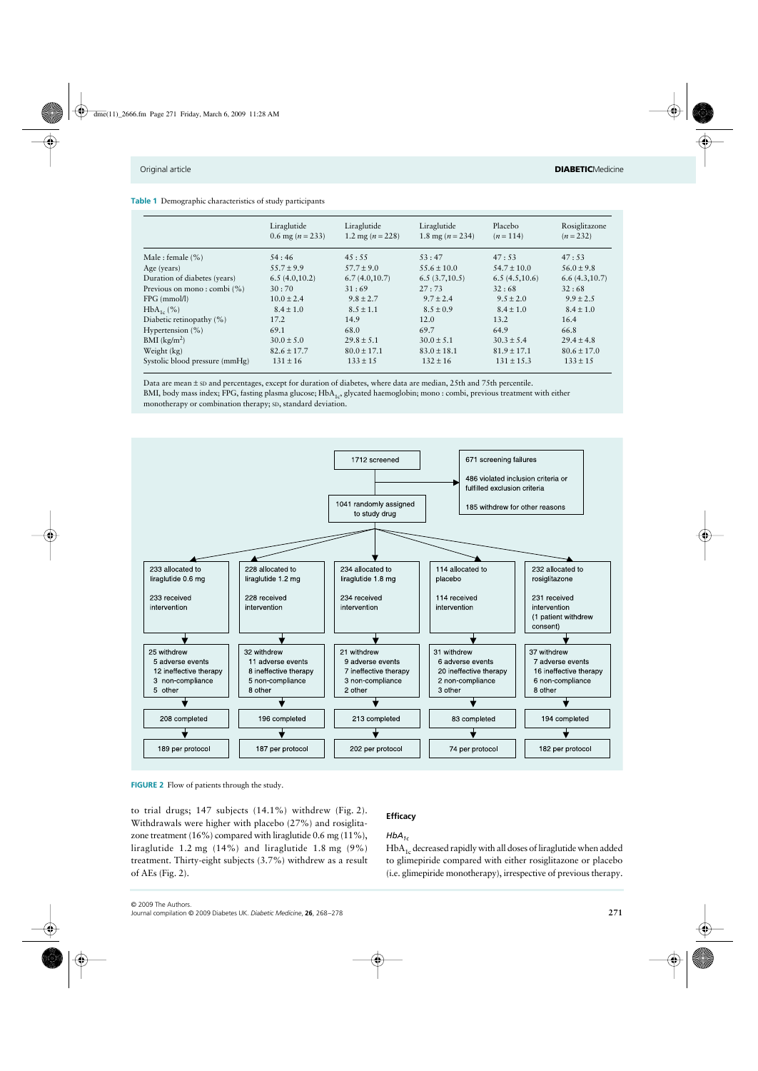| <b>Table 1</b> Demographic characteristics of study participants |  |  |  |  |
|------------------------------------------------------------------|--|--|--|--|
|------------------------------------------------------------------|--|--|--|--|

|                                 | Liraglutide<br>0.6 mg ( $n = 233$ ) | Liraglutide<br>1.2 mg ( $n = 228$ ) | Liraglutide<br>1.8 mg ( $n = 234$ ) | Placebo<br>$(n=114)$ | Rosiglitazone<br>$(n = 232)$ |
|---------------------------------|-------------------------------------|-------------------------------------|-------------------------------------|----------------------|------------------------------|
| Male : female $(\% )$           | .54:46                              | 45:55                               | 53:47                               | 47:53                | 47:53                        |
| Age (years)                     | $55.7 \pm 9.9$                      | $57.7 \pm 9.0$                      | $55.6 \pm 10.0$                     | $54.7 \pm 10.0$      | $56.0 \pm 9.8$               |
| Duration of diabetes (years)    | 6.5(4.0,10.2)                       | 6.7(4.0,10.7)                       | 6.5(3.7,10.5)                       | 6.5(4.5,10.6)        | 6.6(4.3,10.7)                |
| Previous on mono: combi $(\% )$ | 30:70                               | 31:69                               | 27:73                               | 32:68                | 32:68                        |
| $FPG$ (mmol/l)                  | $10.0 \pm 2.4$                      | $9.8 \pm 2.7$                       | $9.7 \pm 2.4$                       | $9.5 \pm 2.0$        | $9.9 \pm 2.5$                |
| $HbA_{1c}$ (%)                  | $8.4 \pm 1.0$                       | $8.5 \pm 1.1$                       | $8.5 \pm 0.9$                       | $8.4 \pm 1.0$        | $8.4 \pm 1.0$                |
| Diabetic retinopathy (%)        | 17.2                                | 14.9                                | 12.0                                | 13.2                 | 16.4                         |
| Hypertension $(\% )$            | 69.1                                | 68.0                                | 69.7                                | 64.9                 | 66.8                         |
| $BMI$ (kg/m <sup>2</sup> )      | $30.0 \pm 5.0$                      | $29.8 \pm 5.1$                      | $30.0 \pm 5.1$                      | $30.3 \pm 5.4$       | $29.4 \pm 4.8$               |
| Weight (kg)                     | $82.6 \pm 17.7$                     | $80.0 \pm 17.1$                     | $83.0 \pm 18.1$                     | $81.9 \pm 17.1$      | $80.6 \pm 17.0$              |
| Systolic blood pressure (mmHg)  | $131 \pm 16$                        | $133 \pm 15$                        | $132 \pm 16$                        | $131 \pm 15.3$       | $133 \pm 15$                 |

Data are mean ± SD and percentages, except for duration of diabetes, where data are median, 25th and 75th percentile. BMI, body mass index; FPG, fasting plasma glucose; HbA<sub>1c</sub>, glycated haemoglobin; mono : combi, previous treatment with either monotherapy or combination therapy; SD, standard deviation.



**FIGURE 2** Flow of patients through the study.

to trial drugs; 147 subjects (14.1%) withdrew (Fig. 2). Withdrawals were higher with placebo (27%) and rosiglitazone treatment (16%) compared with liraglutide 0.6 mg (11%), liraglutide 1.2 mg (14%) and liraglutide 1.8 mg (9%) treatment. Thirty-eight subjects (3.7%) withdrew as a result of AEs (Fig. 2).

# **Efficacy**

# $HbA_{1c}$

 $HbA<sub>1c</sub>$  decreased rapidly with all doses of liraglutide when added to glimepiride compared with either rosiglitazone or placebo (i.e. glimepiride monotherapy), irrespective of previous therapy.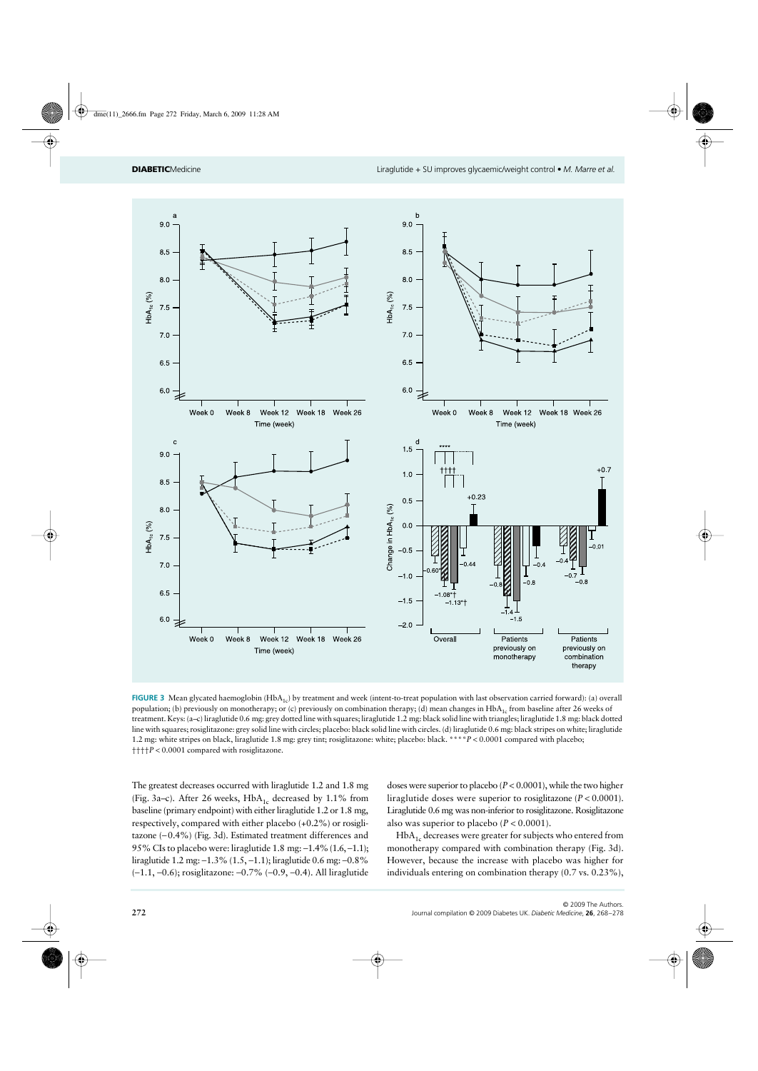

**FIGURE 3** Mean glycated haemoglobin  $(HbA_{1c})$  by treatment and week (intent-to-treat population with last observation carried forward): (a) overall population; (b) previously on monotherapy; or (c) previously on combination therapy; (d) mean changes in HbA<sub>1c</sub> from baseline after 26 weeks of treatment. Keys: (a–c) liraglutide 0.6 mg: grey dotted line with squares; liraglutide 1.2 mg: black solid line with triangles; liraglutide 1.8 mg: black dotted line with squares; rosiglitazone: grey solid line with circles; placebo: black solid line with circles. (d) liraglutide 0.6 mg: black stripes on white; liraglutide 1.2 mg: white stripes on black, liraglutide 1.8 mg: grey tint; rosiglitazone: white; placebo: black. \*\*\*\**P* < 0.0001 compared with placebo; ††††*P* < 0.0001 compared with rosiglitazone.

The greatest decreases occurred with liraglutide 1.2 and 1.8 mg (Fig. 3a–c). After 26 weeks,  $HbA_{1c}$  decreased by 1.1% from baseline (primary endpoint) with either liraglutide 1.2 or 1.8 mg, respectively, compared with either placebo (+0.2%) or rosiglitazone (−0.4%) (Fig. 3d). Estimated treatment differences and 95% CIs to placebo were: liraglutide 1.8 mg: −1.4% (1.6, −1.1); liraglutide 1.2 mg: −1.3% (1.5, −1.1); liraglutide 0.6 mg: −0.8% (−1.1, −0.6); rosiglitazone: −0.7% (−0.9, −0.4). All liraglutide

doses were superior to placebo (*P* < 0.0001), while the two higher liraglutide doses were superior to rosiglitazone (*P* < 0.0001). Liraglutide 0.6 mg was non-inferior to rosiglitazone. Rosiglitazone also was superior to placebo (*P* < 0.0001).

HbA<sub>1c</sub> decreases were greater for subjects who entered from monotherapy compared with combination therapy (Fig. 3d). However, because the increase with placebo was higher for individuals entering on combination therapy (0.7 vs. 0.23%),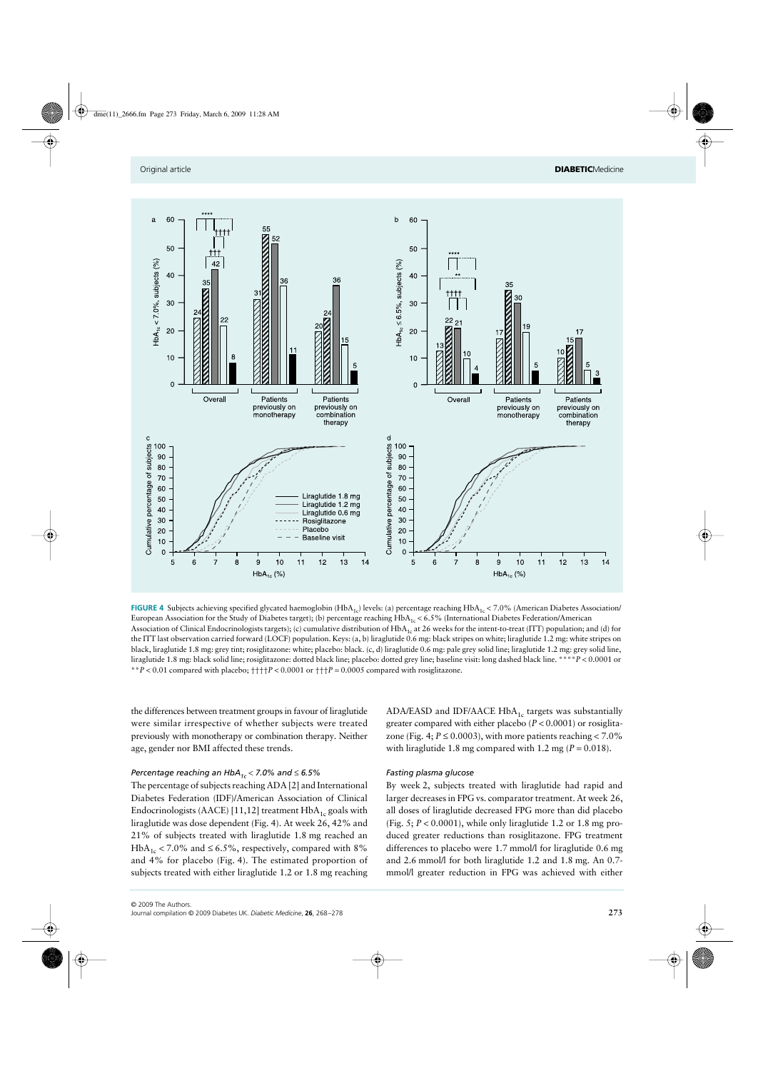

**FIGURE 4** Subjects achieving specified glycated haemoglobin (HbA<sub>1c</sub>) levels: (a) percentage reaching HbA<sub>1c</sub> < 7.0% (American Diabetes Association/ European Association for the Study of Diabetes target); (b) percentage reaching  $HbA_{1c} < 6.5%$  (International Diabetes Federation/American Association of Clinical Endocrinologists targets); (c) cumulative distribution of HbA<sub>1c</sub> at 26 weeks for the intent-to-treat (ITT) population; and (d) for the ITT last observation carried forward (LOCF) population. Keys: (a, b) liraglutide 0.6 mg: black stripes on white; liraglutide 1.2 mg: white stripes on black, liraglutide 1.8 mg: grey tint; rosiglitazone: white; placebo: black. (c, d) liraglutide 0.6 mg: pale grey solid line; liraglutide 1.2 mg: grey solid line, liraglutide 1.8 mg: black solid line; rosiglitazone: dotted black line; placebo: dotted grey line; baseline visit: long dashed black line. \*\*\*\**P* < 0.0001 or \*\**P* < 0.01 compared with placebo; ††††*P* < 0.0001 or †††*P* = 0.0005 compared with rosiglitazone.

the differences between treatment groups in favour of liraglutide were similar irrespective of whether subjects were treated previously with monotherapy or combination therapy. Neither age, gender nor BMI affected these trends.

# *Percentage reaching an HbA1c* < *7.0% and* ≤ *6.5%*

The percentage of subjects reaching ADA [2] and International Diabetes Federation (IDF)/American Association of Clinical Endocrinologists (AACE) [11,12] treatment  $HbA_{1c}$  goals with liraglutide was dose dependent (Fig. 4). At week 26, 42% and 21% of subjects treated with liraglutide 1.8 mg reached an HbA<sub>1c</sub> < 7.0% and ≤ 6.5%, respectively, compared with 8% and 4% for placebo (Fig. 4). The estimated proportion of subjects treated with either liraglutide 1.2 or 1.8 mg reaching ADA/EASD and IDF/AACE  $HbA_{1c}$  targets was substantially greater compared with either placebo (*P* < 0.0001) or rosiglitazone (Fig. 4;  $P \le 0.0003$ ), with more patients reaching < 7.0% with liraglutide 1.8 mg compared with 1.2 mg ( $P = 0.018$ ).

## *Fasting plasma glucose*

By week 2, subjects treated with liraglutide had rapid and larger decreases in FPG vs. comparator treatment. At week 26, all doses of liraglutide decreased FPG more than did placebo (Fig. 5; *P* < 0.0001), while only liraglutide 1.2 or 1.8 mg produced greater reductions than rosiglitazone. FPG treatment differences to placebo were 1.7 mmol/l for liraglutide 0.6 mg and 2.6 mmol/l for both liraglutide 1.2 and 1.8 mg. An 0.7 mmol/l greater reduction in FPG was achieved with either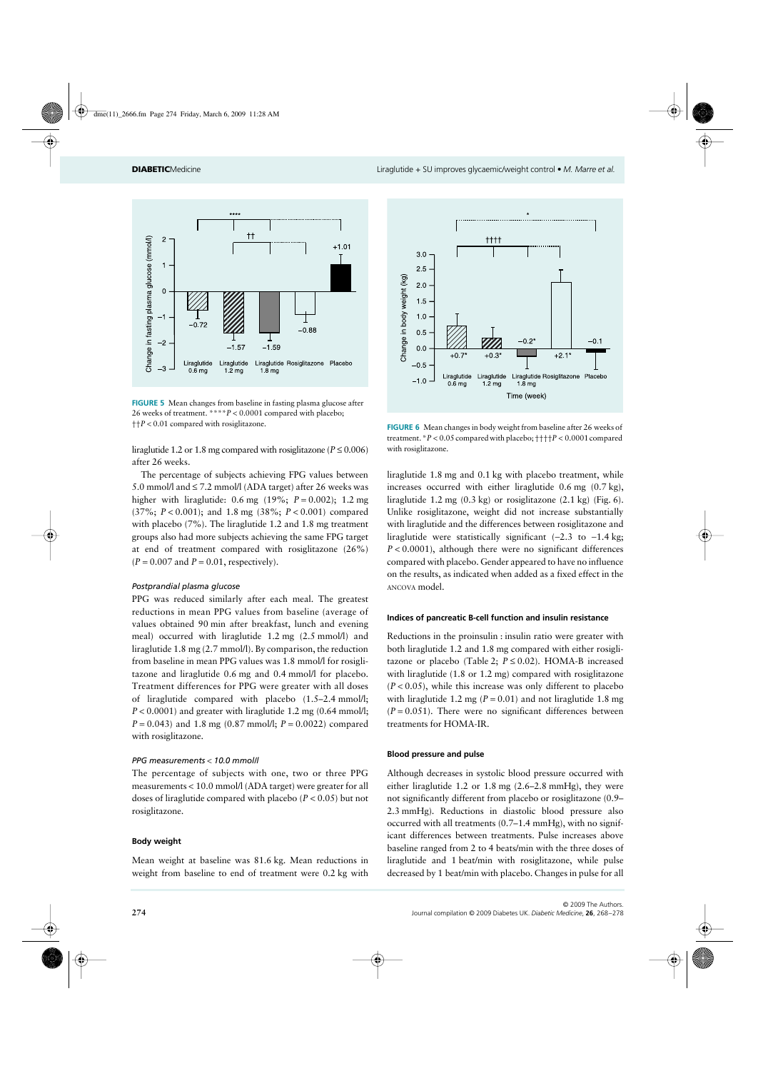

**FIGURE 5** Mean changes from baseline in fasting plasma glucose after 26 weeks of treatment. \*\*\*\**P* < 0.0001 compared with placebo; ††*P* < 0.01 compared with rosiglitazone. **FIGURE 6** Mean changes in body weight from baseline after 26 weeks of

liraglutide 1.2 or 1.8 mg compared with rosiglitazone ( $P \le 0.006$ ) after 26 weeks.

The percentage of subjects achieving FPG values between 5.0 mmol/l and  $\leq$  7.2 mmol/l (ADA target) after 26 weeks was higher with liraglutide: 0.6 mg (19%; *P* = 0.002); 1.2 mg (37%; *P* < 0.001); and 1.8 mg (38%; *P* < 0.001) compared with placebo (7%). The liraglutide 1.2 and 1.8 mg treatment groups also had more subjects achieving the same FPG target at end of treatment compared with rosiglitazone (26%)  $(P = 0.007$  and  $P = 0.01$ , respectively).

# *Postprandial plasma glucose*

PPG was reduced similarly after each meal. The greatest reductions in mean PPG values from baseline (average of values obtained 90 min after breakfast, lunch and evening meal) occurred with liraglutide 1.2 mg (2.5 mmol/l) and liraglutide 1.8 mg (2.7 mmol/l). By comparison, the reduction from baseline in mean PPG values was 1.8 mmol/l for rosiglitazone and liraglutide 0.6 mg and 0.4 mmol/l for placebo. Treatment differences for PPG were greater with all doses of liraglutide compared with placebo (1.5–2.4 mmol/l; *P* < 0.0001) and greater with liraglutide 1.2 mg (0.64 mmol/l; *P* = 0.043) and 1.8 mg (0.87 mmol/l; *P* = 0.0022) compared with rosiglitazone.

# *PPG measurements* < *10.0 mmol/l*

The percentage of subjects with one, two or three PPG measurements < 10.0 mmol/l (ADA target) were greater for all doses of liraglutide compared with placebo (*P* < 0.05) but not rosiglitazone.

# **Body weight**

Mean weight at baseline was 81.6 kg. Mean reductions in weight from baseline to end of treatment were 0.2 kg with



treatment. \**P* < 0.05 compared with placebo; ††††*P* < 0.0001 compared with rosiglitazone.

liraglutide 1.8 mg and 0.1 kg with placebo treatment, while increases occurred with either liraglutide 0.6 mg (0.7 kg), liraglutide 1.2 mg (0.3 kg) or rosiglitazone (2.1 kg) (Fig. 6). Unlike rosiglitazone, weight did not increase substantially with liraglutide and the differences between rosiglitazone and liraglutide were statistically significant (−2.3 to −1.4 kg; *P* < 0.0001), although there were no significant differences compared with placebo. Gender appeared to have no influence on the results, as indicated when added as a fixed effect in the ANCOVA model.

#### **Indices of pancreatic B-cell function and insulin resistance**

Reductions in the proinsulin : insulin ratio were greater with both liraglutide 1.2 and 1.8 mg compared with either rosiglitazone or placebo (Table 2;  $P \le 0.02$ ). HOMA-B increased with liraglutide (1.8 or 1.2 mg) compared with rosiglitazone  $(P < 0.05)$ , while this increase was only different to placebo with liraglutide 1.2 mg ( $P = 0.01$ ) and not liraglutide 1.8 mg  $(P = 0.051)$ . There were no significant differences between treatments for HOMA-IR.

#### **Blood pressure and pulse**

Although decreases in systolic blood pressure occurred with either liraglutide 1.2 or 1.8 mg (2.6–2.8 mmHg), they were not significantly different from placebo or rosiglitazone (0.9– 2.3 mmHg). Reductions in diastolic blood pressure also occurred with all treatments (0.7–1.4 mmHg), with no significant differences between treatments. Pulse increases above baseline ranged from 2 to 4 beats/min with the three doses of liraglutide and 1 beat/min with rosiglitazone, while pulse decreased by 1 beat/min with placebo. Changes in pulse for all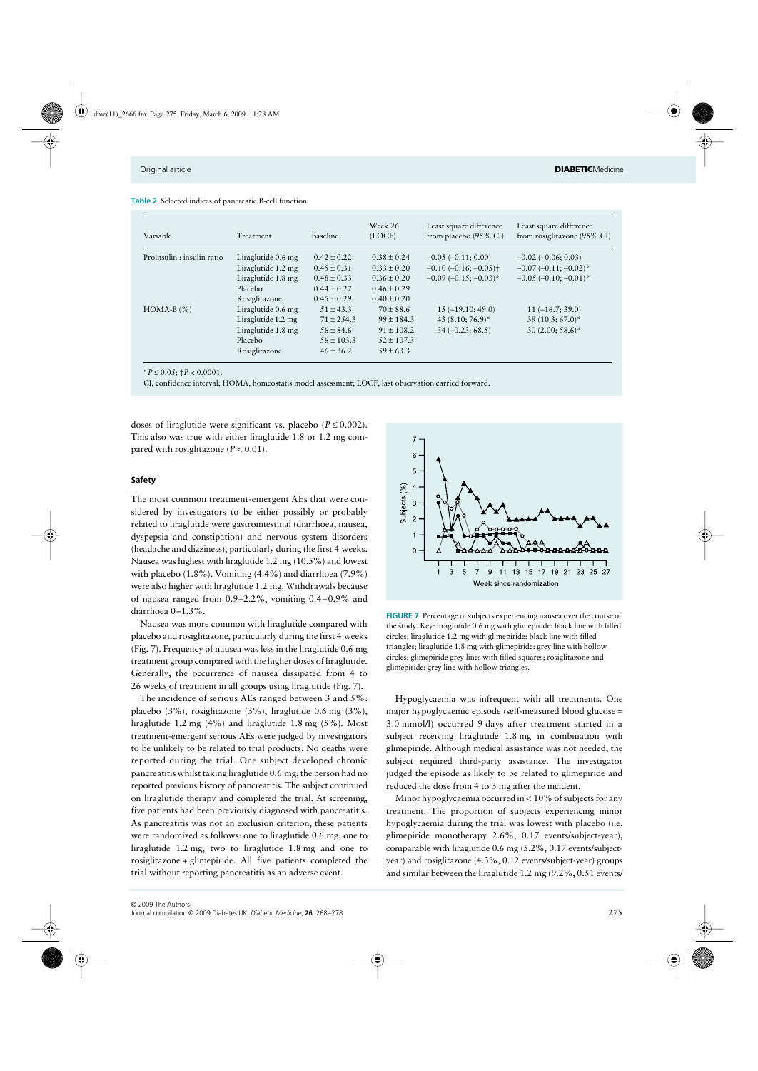|  |  |  |  |  |  |  | <b>Table 2</b> Selected indices of pancreatic B-cell function |  |  |
|--|--|--|--|--|--|--|---------------------------------------------------------------|--|--|
|--|--|--|--|--|--|--|---------------------------------------------------------------|--|--|

| Variable                   | Treatment          | Baseline        | Week 26<br>(LOCF) | Least square difference<br>from placebo $(95\% \text{ CI})$ | Least square difference<br>from rosiglitazone (95% CI) |
|----------------------------|--------------------|-----------------|-------------------|-------------------------------------------------------------|--------------------------------------------------------|
| Proinsulin : insulin ratio | Liraglutide 0.6 mg | $0.42 \pm 0.22$ | $0.38 \pm 0.24$   | $-0.05$ ( $-0.11$ ; 0.00)                                   | $-0.02$ ( $-0.06$ ; 0.03)                              |
|                            | Liraglutide 1.2 mg | $0.45 \pm 0.31$ | $0.33 \pm 0.20$   | $-0.10$ $(-0.16; -0.05)$ <sup>+</sup>                       | $-0.07$ $(-0.11; -0.02)^*$                             |
|                            | Liraglutide 1.8 mg | $0.48 \pm 0.33$ | $0.36 \pm 0.20$   | $-0.09(-0.15; -0.03)^*$                                     | $-0.05$ $(-0.10, -0.01)^*$                             |
|                            | Placebo            | $0.44 \pm 0.27$ | $0.46 \pm 0.29$   |                                                             |                                                        |
|                            | Rosiglitazone      | $0.45 \pm 0.29$ | $0.40 \pm 0.20$   |                                                             |                                                        |
| $HOMA-B$ $(\% )$           | Liraglutide 0.6 mg | $51 \pm 43.3$   | $70 \pm 88.6$     | $15(-19.10; 49.0)$                                          | $11(-16.7; 39.0)$                                      |
|                            | Liraglutide 1.2 mg | $71 \pm 2.54.3$ | $99 \pm 184.3$    | 43 $(8.10; 76.9)^*$                                         | $39(10.3; 67.0)^*$                                     |
|                            | Liraglutide 1.8 mg | $56 \pm 84.6$   | $91 \pm 108.2$    | $34 (-0.23; 68.5)$                                          | $30(2.00; 58.6)^*$                                     |
|                            | Placebo            | $56 \pm 103.3$  | $52 \pm 107.3$    |                                                             |                                                        |
|                            | Rosiglitazone      | $46 \pm 36.2$   | $59 \pm 63.3$     |                                                             |                                                        |

 $*P \le 0.05$ ;  $+P < 0.0001$ .

CI, confidence interval; HOMA, homeostatis model assessment; LOCF, last observation carried forward.

doses of liraglutide were significant vs. placebo ( $P \le 0.002$ ). This also was true with either liraglutide 1.8 or 1.2 mg compared with rosiglitazone  $(P < 0.01)$ .

# **Safety**

The most common treatment-emergent AEs that were considered by investigators to be either possibly or probably related to liraglutide were gastrointestinal (diarrhoea, nausea, dyspepsia and constipation) and nervous system disorders (headache and dizziness), particularly during the first 4 weeks. Nausea was highest with liraglutide 1.2 mg (10.5%) and lowest with placebo (1.8%). Vomiting (4.4%) and diarrhoea (7.9%) were also higher with liraglutide 1.2 mg. Withdrawals because of nausea ranged from 0.9–2.2%, vomiting 0.4–0.9% and diarrhoea 0–1.3%.

Nausea was more common with liraglutide compared with placebo and rosiglitazone, particularly during the first 4 weeks (Fig. 7). Frequency of nausea was less in the liraglutide 0.6 mg treatment group compared with the higher doses of liraglutide. Generally, the occurrence of nausea dissipated from 4 to 26 weeks of treatment in all groups using liraglutide (Fig. 7).

The incidence of serious AEs ranged between 3 and 5%: placebo (3%), rosiglitazone (3%), liraglutide 0.6 mg (3%), liraglutide 1.2 mg (4%) and liraglutide 1.8 mg (5%). Most treatment-emergent serious AEs were judged by investigators to be unlikely to be related to trial products. No deaths were reported during the trial. One subject developed chronic pancreatitis whilst taking liraglutide 0.6 mg; the person had no reported previous history of pancreatitis. The subject continued on liraglutide therapy and completed the trial. At screening, five patients had been previously diagnosed with pancreatitis. As pancreatitis was not an exclusion criterion, these patients were randomized as follows: one to liraglutide 0.6 mg, one to liraglutide 1.2 mg, two to liraglutide 1.8 mg and one to rosiglitazone + glimepiride. All five patients completed the trial without reporting pancreatitis as an adverse event.



**FIGURE 7** Percentage of subjects experiencing nausea over the course of the study. Key: liraglutide 0.6 mg with glimepiride: black line with filled circles; liraglutide 1.2 mg with glimepiride: black line with filled triangles; liraglutide 1.8 mg with glimepiride: grey line with hollow circles; glimepiride grey lines with filled squares; rosiglitazone and glimepiride: grey line with hollow triangles.

Hypoglycaemia was infrequent with all treatments. One major hypoglycaemic episode (self-measured blood glucose = 3.0 mmol/l) occurred 9 days after treatment started in a subject receiving liraglutide 1.8 mg in combination with glimepiride. Although medical assistance was not needed, the subject required third-party assistance. The investigator judged the episode as likely to be related to glimepiride and reduced the dose from 4 to 3 mg after the incident.

Minor hypoglycaemia occurred in < 10% of subjects for any treatment. The proportion of subjects experiencing minor hypoglycaemia during the trial was lowest with placebo (i.e. glimepiride monotherapy 2.6%; 0.17 events/subject-year), comparable with liraglutide 0.6 mg (5.2%, 0.17 events/subjectyear) and rosiglitazone (4.3%, 0.12 events/subject-year) groups and similar between the liraglutide 1.2 mg (9.2%, 0.51 events/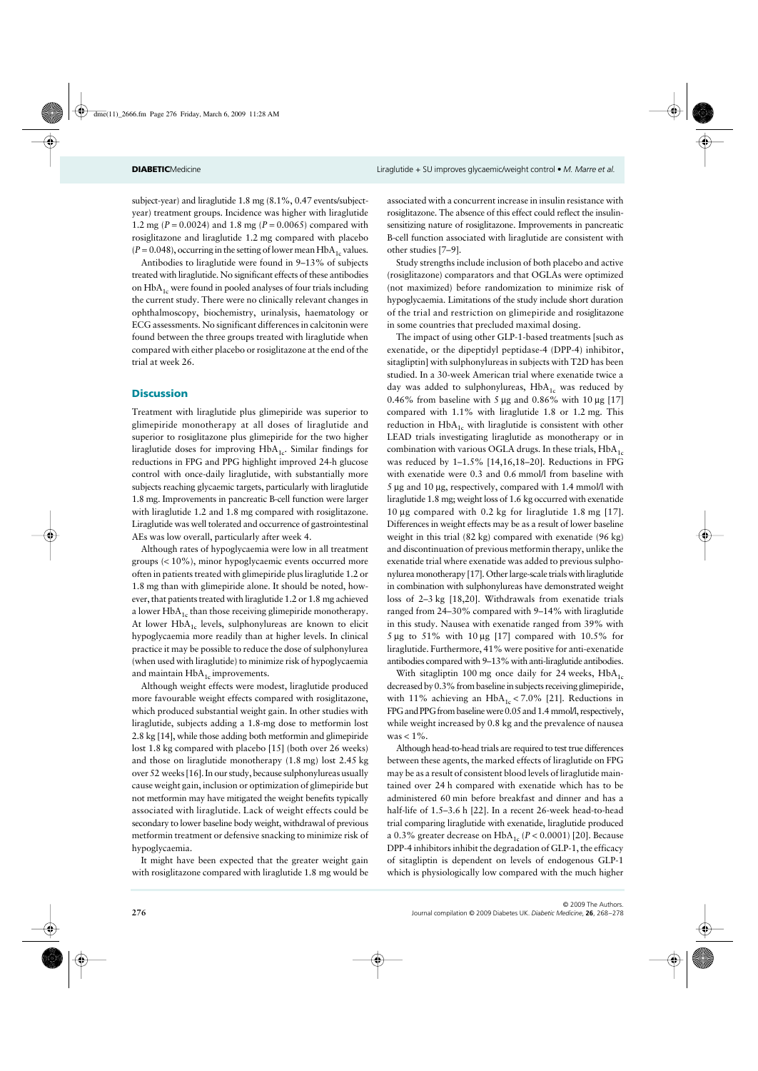subject-year) and liraglutide 1.8 mg (8.1%, 0.47 events/subjectyear) treatment groups. Incidence was higher with liraglutide 1.2 mg (*P* = 0.0024) and 1.8 mg (*P* = 0.0065) compared with rosiglitazone and liraglutide 1.2 mg compared with placebo  $(P = 0.048)$ , occurring in the setting of lower mean HbA<sub>1c</sub> values.

Antibodies to liraglutide were found in 9–13% of subjects treated with liraglutide. No significant effects of these antibodies on  $HbA_{1c}$  were found in pooled analyses of four trials including the current study. There were no clinically relevant changes in ophthalmoscopy, biochemistry, urinalysis, haematology or ECG assessments. No significant differences in calcitonin were found between the three groups treated with liraglutide when compared with either placebo or rosiglitazone at the end of the trial at week 26.

# **Discussion**

Treatment with liraglutide plus glimepiride was superior to glimepiride monotherapy at all doses of liraglutide and superior to rosiglitazone plus glimepiride for the two higher liraglutide doses for improving  $HbA_{1c}$ . Similar findings for reductions in FPG and PPG highlight improved 24-h glucose control with once-daily liraglutide, with substantially more subjects reaching glycaemic targets, particularly with liraglutide 1.8 mg. Improvements in pancreatic B-cell function were larger with liraglutide 1.2 and 1.8 mg compared with rosiglitazone. Liraglutide was well tolerated and occurrence of gastrointestinal AEs was low overall, particularly after week 4.

Although rates of hypoglycaemia were low in all treatment groups (< 10%), minor hypoglycaemic events occurred more often in patients treated with glimepiride plus liraglutide 1.2 or 1.8 mg than with glimepiride alone. It should be noted, however, that patients treated with liraglutide 1.2 or 1.8 mg achieved a lower  $HbA_{1c}$  than those receiving glimepiride monotherapy. At lower HbA<sub>1c</sub> levels, sulphonylureas are known to elicit hypoglycaemia more readily than at higher levels. In clinical practice it may be possible to reduce the dose of sulphonylurea (when used with liraglutide) to minimize risk of hypoglycaemia and maintain  $HbA_{1c}$  improvements.

Although weight effects were modest, liraglutide produced more favourable weight effects compared with rosiglitazone, which produced substantial weight gain. In other studies with liraglutide, subjects adding a 1.8-mg dose to metformin lost 2.8 kg [14], while those adding both metformin and glimepiride lost 1.8 kg compared with placebo [15] (both over 26 weeks) and those on liraglutide monotherapy (1.8 mg) lost 2.45 kg over 52 weeks [16]. In our study, because sulphonylureas usually cause weight gain, inclusion or optimization of glimepiride but not metformin may have mitigated the weight benefits typically associated with liraglutide. Lack of weight effects could be secondary to lower baseline body weight, withdrawal of previous metformin treatment or defensive snacking to minimize risk of hypoglycaemia.

It might have been expected that the greater weight gain with rosiglitazone compared with liraglutide 1.8 mg would be associated with a concurrent increase in insulin resistance with rosiglitazone. The absence of this effect could reflect the insulinsensitizing nature of rosiglitazone. Improvements in pancreatic B-cell function associated with liraglutide are consistent with other studies [7–9].

Study strengths include inclusion of both placebo and active (rosiglitazone) comparators and that OGLAs were optimized (not maximized) before randomization to minimize risk of hypoglycaemia. Limitations of the study include short duration of the trial and restriction on glimepiride and rosiglitazone in some countries that precluded maximal dosing.

The impact of using other GLP-1-based treatments [such as exenatide, or the dipeptidyl peptidase-4 (DPP-4) inhibitor, sitagliptin] with sulphonylureas in subjects with T2D has been studied. In a 30-week American trial where exenatide twice a day was added to sulphonylureas,  $HbA_{1c}$  was reduced by 0.46% from baseline with 5  $\mu$ g and 0.86% with 10  $\mu$ g [17] compared with 1.1% with liraglutide 1.8 or 1.2 mg. This reduction in  $HbA_{1c}$  with liraglutide is consistent with other LEAD trials investigating liraglutide as monotherapy or in combination with various OGLA drugs. In these trials,  $HbA<sub>1c</sub>$ was reduced by 1–1.5% [14,16,18–20]. Reductions in FPG with exenatide were 0.3 and 0.6 mmol/l from baseline with 5 µg and 10 µg, respectively, compared with 1.4 mmol/l with liraglutide 1.8 mg; weight loss of 1.6 kg occurred with exenatide 10 µg compared with 0.2 kg for liraglutide 1.8 mg [17]. Differences in weight effects may be as a result of lower baseline weight in this trial (82 kg) compared with exenatide (96 kg) and discontinuation of previous metformin therapy, unlike the exenatide trial where exenatide was added to previous sulphonylurea monotherapy [17]. Other large-scale trials with liraglutide in combination with sulphonylureas have demonstrated weight loss of 2–3 kg [18,20]. Withdrawals from exenatide trials ranged from 24–30% compared with 9–14% with liraglutide in this study. Nausea with exenatide ranged from 39% with 5 µg to 51% with 10 µg [17] compared with 10.5% for liraglutide. Furthermore, 41% were positive for anti-exenatide antibodies compared with 9–13% with anti-liraglutide antibodies.

With sitagliptin 100 mg once daily for 24 weeks,  $HbA_{1c}$ decreased by 0.3% from baseline in subjects receiving glimepiride, with 11% achieving an  $HbA_{1c} < 7.0\%$  [21]. Reductions in FPG and PPG from baseline were 0.05 and 1.4 mmol/l, respectively, while weight increased by 0.8 kg and the prevalence of nausea  $was < 1\%$ .

Although head-to-head trials are required to test true differences between these agents, the marked effects of liraglutide on FPG may be as a result of consistent blood levels of liraglutide maintained over 24 h compared with exenatide which has to be administered 60 min before breakfast and dinner and has a half-life of 1.5–3.6 h [22]. In a recent 26-week head-to-head trial comparing liraglutide with exenatide, liraglutide produced a 0.3% greater decrease on  $HbA_{1c}$  ( $P < 0.0001$ ) [20]. Because DPP-4 inhibitors inhibit the degradation of GLP-1, the efficacy of sitagliptin is dependent on levels of endogenous GLP-1 which is physiologically low compared with the much higher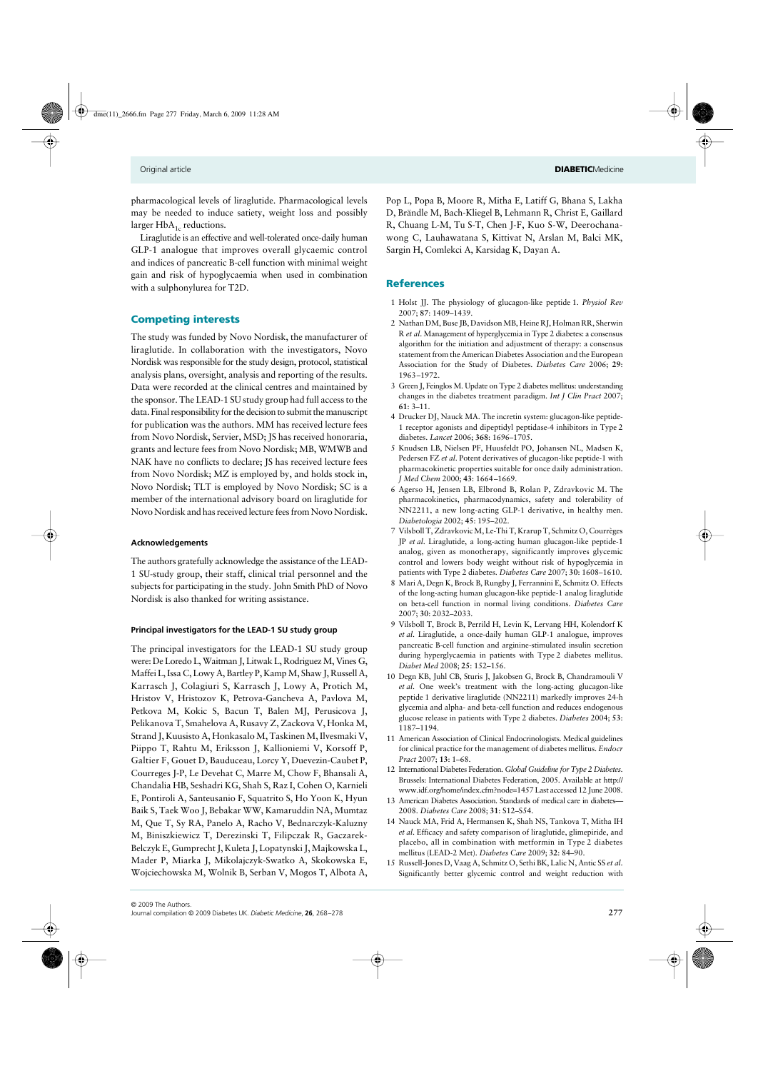pharmacological levels of liraglutide. Pharmacological levels may be needed to induce satiety, weight loss and possibly larger  $HbA_{1c}$  reductions.

Liraglutide is an effective and well-tolerated once-daily human GLP-1 analogue that improves overall glycaemic control and indices of pancreatic B-cell function with minimal weight gain and risk of hypoglycaemia when used in combination with a sulphonylurea for T2D.

# Competing interests

The study was funded by Novo Nordisk, the manufacturer of liraglutide. In collaboration with the investigators, Novo Nordisk was responsible for the study design, protocol, statistical analysis plans, oversight, analysis and reporting of the results. Data were recorded at the clinical centres and maintained by the sponsor. The LEAD-1 SU study group had full access to the data. Final responsibility for the decision to submit the manuscript for publication was the authors. MM has received lecture fees from Novo Nordisk, Servier, MSD; JS has received honoraria, grants and lecture fees from Novo Nordisk; MB, WMWB and NAK have no conflicts to declare; JS has received lecture fees from Novo Nordisk; MZ is employed by, and holds stock in, Novo Nordisk; TLT is employed by Novo Nordisk; SC is a member of the international advisory board on liraglutide for Novo Nordisk and has received lecture fees from Novo Nordisk.

# **Acknowledgements**

The authors gratefully acknowledge the assistance of the LEAD-1 SU-study group, their staff, clinical trial personnel and the subjects for participating in the study. John Smith PhD of Novo Nordisk is also thanked for writing assistance.

#### **Principal investigators for the LEAD-1 SU study group**

The principal investigators for the LEAD-1 SU study group were: De Loredo L, Waitman J, Litwak L, Rodriguez M, Vines G, Maffei L, Issa C, Lowy A, Bartley P, Kamp M, Shaw J, Russell A, Karrasch J, Colagiuri S, Karrasch J, Lowy A, Protich M, Hristov V, Hristozov K, Petrova-Gancheva A, Pavlova M, Petkova M, Kokic S, Bacun T, Balen MJ, Perusicova J, Pelikanova T, Smahelova A, Rusavy Z, Zackova V, Honka M, Strand J, Kuusisto A, Honkasalo M, Taskinen M, Ilvesmaki V, Piippo T, Rahtu M, Eriksson J, Kallioniemi V, Korsoff P, Galtier F, Gouet D, Bauduceau, Lorcy Y, Duevezin-Caubet P, Courreges J-P, Le Devehat C, Marre M, Chow F, Bhansali A, Chandalia HB, Seshadri KG, Shah S, Raz I, Cohen O, Karnieli E, Pontiroli A, Santeusanio F, Squatrito S, Ho Yoon K, Hyun Baik S, Taek Woo J, Bebakar WW, Kamaruddin NA, Mumtaz M, Que T, Sy RA, Panelo A, Racho V, Bednarczyk-Kaluzny M, Biniszkiewicz T, Derezinski T, Filipczak R, Gaczarek-Belczyk E, Gumprecht J, Kuleta J, Lopatynski J, Majkowska L, Mader P, Miarka J, Mikolajczyk-Swatko A, Skokowska E, Wojciechowska M, Wolnik B, Serban V, Mogos T, Albota A,

Pop L, Popa B, Moore R, Mitha E, Latiff G, Bhana S, Lakha D, Brändle M, Bach-Kliegel B, Lehmann R, Christ E, Gaillard R, Chuang L-M, Tu S-T, Chen J-F, Kuo S-W, Deerochanawong C, Lauhawatana S, Kittivat N, Arslan M, Balci MK, Sargin H, Comlekci A, Karsidag K, Dayan A.

# **References**

- 1 Holst JJ. The physiology of glucagon-like peptide 1. *Physiol Rev* 2007; **87**: 1409–1439.
- 2 Nathan DM, Buse JB, Davidson MB, Heine RJ, Holman RR, Sherwin R *et al*. Management of hyperglycemia in Type 2 diabetes: a consensus algorithm for the initiation and adjustment of therapy: a consensus statement from the American Diabetes Association and the European Association for the Study of Diabetes. *Diabetes Care* 2006; **29**: 1963–1972.
- 3 Green J, Feinglos M. Update on Type 2 diabetes mellitus: understanding changes in the diabetes treatment paradigm. *Int J Clin Pract* 2007; **61**: 3–11.
- 4 Drucker DJ, Nauck MA. The incretin system: glucagon-like peptide-1 receptor agonists and dipeptidyl peptidase-4 inhibitors in Type 2 diabetes. *Lancet* 2006; **368**: 1696–1705.
- 5 Knudsen LB, Nielsen PF, Huusfeldt PO, Johansen NL, Madsen K, Pedersen FZ *et al*. Potent derivatives of glucagon-like peptide-1 with pharmacokinetic properties suitable for once daily administration. *J Med Chem* 2000; **43**: 1664–1669.
- 6 Agerso H, Jensen LB, Elbrond B, Rolan P, Zdravkovic M. The pharmacokinetics, pharmacodynamics, safety and tolerability of NN2211, a new long-acting GLP-1 derivative, in healthy men. *Diabetologia* 2002; **45**: 195–202.
- 7 Vilsboll T, Zdravkovic M, Le-Thi T, Krarup T, Schmitz O, Courrèges JP *et al*. Liraglutide, a long-acting human glucagon-like peptide-1 analog, given as monotherapy, significantly improves glycemic control and lowers body weight without risk of hypoglycemia in patients with Type 2 diabetes. *Diabetes Care* 2007; **30**: 1608–1610.
- 8 Mari A, Degn K, Brock B, Rungby J, Ferrannini E, Schmitz O. Effects of the long-acting human glucagon-like peptide-1 analog liraglutide on beta-cell function in normal living conditions. *Diabetes Care* 2007; **30**: 2032–2033.
- 9 Vilsboll T, Brock B, Perrild H, Levin K, Lervang HH, Kolendorf K *et al*. Liraglutide, a once-daily human GLP-1 analogue, improves pancreatic B-cell function and arginine-stimulated insulin secretion during hyperglycaemia in patients with Type 2 diabetes mellitus. *Diabet Med* 2008; **25**: 152–156.
- 10 Degn KB, Juhl CB, Sturis J, Jakobsen G, Brock B, Chandramouli V *et al*. One week's treatment with the long-acting glucagon-like peptide 1 derivative liraglutide (NN2211) markedly improves 24-h glycemia and alpha- and beta-cell function and reduces endogenous glucose release in patients with Type 2 diabetes. *Diabetes* 2004; **53**: 1187–1194.
- 11 American Association of Clinical Endocrinologists. Medical guidelines for clinical practice for the management of diabetes mellitus. *Endocr Pract* 2007; **13**: 1–68.
- 12 International Diabetes Federation. *Global Guideline for Type 2 Diabetes*. Brussels: International Diabetes Federation, 2005. Available at http:// www.idf.org/home/index.cfm?node=1457 Last accessed 12 June 2008.
- 13 American Diabetes Association. Standards of medical care in diabetes— 2008. *Diabetes Care* 2008; **31**: S12–S54.
- 14 Nauck MA, Frid A, Hermansen K, Shah NS, Tankova T, Mitha IH *et al*. Efficacy and safety comparison of liraglutide, glimepiride, and placebo, all in combination with metformin in Type 2 diabetes mellitus (LEAD-2 Met). *Diabetes Care* 2009; **32**: 84–90.
- 15 Russell-Jones D, Vaag A, Schmitz O, Sethi BK, Lalic N, Antic SS *et al*. Significantly better glycemic control and weight reduction with